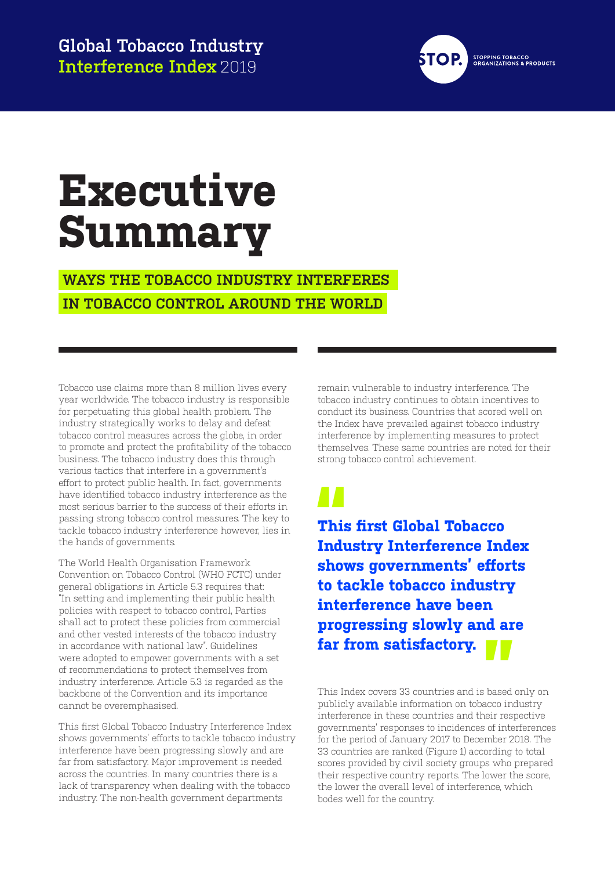

## **Executive Summary**

 **WAYS THE TOBACCO INDUSTRY INTERFERES IN TOBACCO CONTROL AROUND THE WORLD** 

Tobacco use claims more than 8 million lives every year worldwide. The tobacco industry is responsible for perpetuating this global health problem. The industry strategically works to delay and defeat tobacco control measures across the globe, in order to promote and protect the profitability of the tobacco business. The tobacco industry does this through various tactics that interfere in a government's effort to protect public health. In fact, governments have identified tobacco industry interference as the most serious barrier to the success of their efforts in passing strong tobacco control measures. The key to tackle tobacco industry interference however, lies in the hands of governments.

The World Health Organisation Framework Convention on Tobacco Control (WHO FCTC) under general obligations in Article 5.3 requires that: "In setting and implementing their public health policies with respect to tobacco control, Parties shall act to protect these policies from commercial and other vested interests of the tobacco industry in accordance with national law". Guidelines were adopted to empower governments with a set of recommendations to protect themselves from industry interference. Article 5.3 is regarded as the backbone of the Convention and its importance cannot be overemphasised.

This first Global Tobacco Industry Interference Index shows governments' efforts to tackle tobacco industry interference have been progressing slowly and are far from satisfactory. Major improvement is needed across the countries. In many countries there is a lack of transparency when dealing with the tobacco industry. The non-health government departments

remain vulnerable to industry interference. The tobacco industry continues to obtain incentives to conduct its business. Countries that scored well on the Index have prevailed against tobacco industry interference by implementing measures to protect themselves. These same countries are noted for their strong tobacco control achievement.

**This first Global Tobacco Industry Interference Index shows governments' efforts to tackle tobacco industry interference have been progressing slowly and are far from satisfactory.** 

This Index covers 33 countries and is based only on publicly available information on tobacco industry **1** interference in these countries and their respective governments' responses to incidences of interferences for the period of January 2017 to December 2018. The 33 countries are ranked (Figure 1) according to total scores provided by civil society groups who prepared their respective country reports. The lower the score, the lower the overall level of interference, which bodes well for the country.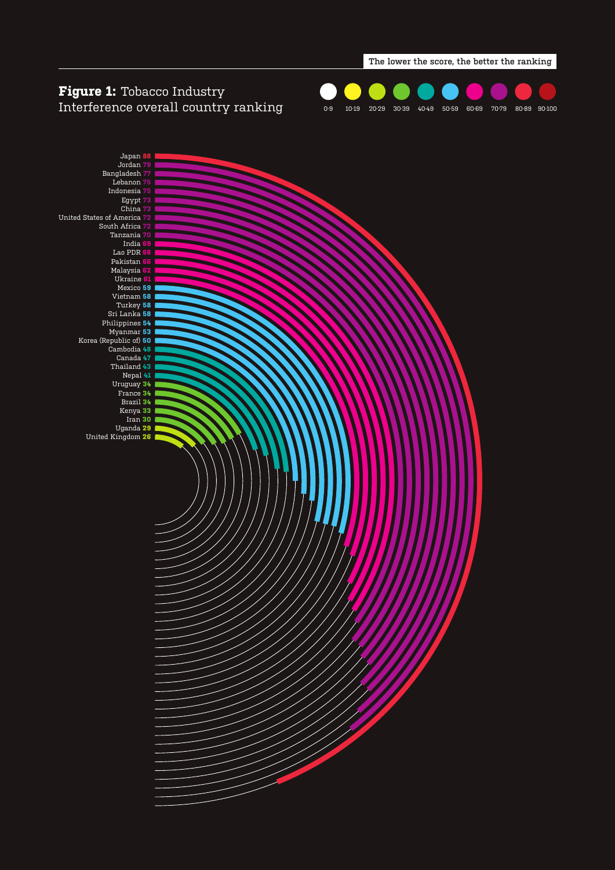

#### **Figure 1:** Tobacco Industry Interference overall country ranking



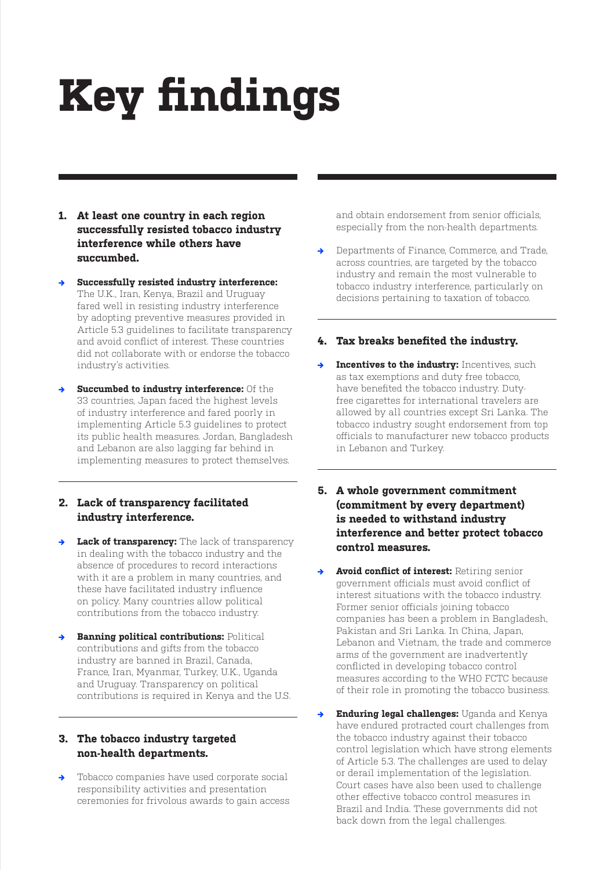# **Key findings**

- **1. At least one country in each region successfully resisted tobacco industry interference while others have succumbed.**
- **→ Successfully resisted industry interference:** The U.K., Iran, Kenya, Brazil and Uruguay fared well in resisting industry interference by adopting preventive measures provided in Article 5.3 guidelines to facilitate transparency and avoid conflict of interest. These countries did not collaborate with or endorse the tobacco industry's activities.
- **Succumbed to industry interference:** Of the 33 countries, Japan faced the highest levels of industry interference and fared poorly in implementing Article 5.3 guidelines to protect its public health measures. Jordan, Bangladesh and Lebanon are also lagging far behind in implementing measures to protect themselves.

#### **2. Lack of transparency facilitated industry interference.**

- **Lack of transparency:** The lack of transparency in dealing with the tobacco industry and the absence of procedures to record interactions with it are a problem in many countries, and these have facilitated industry influence on policy. Many countries allow political contributions from the tobacco industry.
- **Banning political contributions: Political** contributions and gifts from the tobacco industry are banned in Brazil, Canada, France, Iran, Myanmar, Turkey, U.K., Uganda and Uruguay. Transparency on political contributions is required in Kenya and the U.S.

#### **3. The tobacco industry targeted non-health departments.**

**→** Tobacco companies have used corporate social responsibility activities and presentation ceremonies for frivolous awards to gain access and obtain endorsement from senior officials, especially from the non-health departments.

**→** Departments of Finance, Commerce, and Trade, across countries, are targeted by the tobacco industry and remain the most vulnerable to tobacco industry interference, particularly on decisions pertaining to taxation of tobacco.

#### **4. Tax breaks benefited the industry.**

- **Incentives to the industry:** Incentives, such as tax exemptions and duty free tobacco, have benefited the tobacco industry. Dutyfree cigarettes for international travelers are allowed by all countries except Sri Lanka. The tobacco industry sought endorsement from top officials to manufacturer new tobacco products in Lebanon and Turkey.
- **5. A whole government commitment (commitment by every department) is needed to withstand industry interference and better protect tobacco control measures.**
- Avoid conflict of interest: Retiring senior government officials must avoid conflict of interest situations with the tobacco industry. Former senior officials joining tobacco companies has been a problem in Bangladesh, Pakistan and Sri Lanka. In China, Japan, Lebanon and Vietnam, the trade and commerce arms of the government are inadvertently conflicted in developing tobacco control measures according to the WHO FCTC because of their role in promoting the tobacco business.
- **→ Enduring legal challenges:** Uganda and Kenya have endured protracted court challenges from the tobacco industry against their tobacco control legislation which have strong elements of Article 5.3. The challenges are used to delay or derail implementation of the legislation. Court cases have also been used to challenge other effective tobacco control measures in Brazil and India. These governments did not back down from the legal challenges.